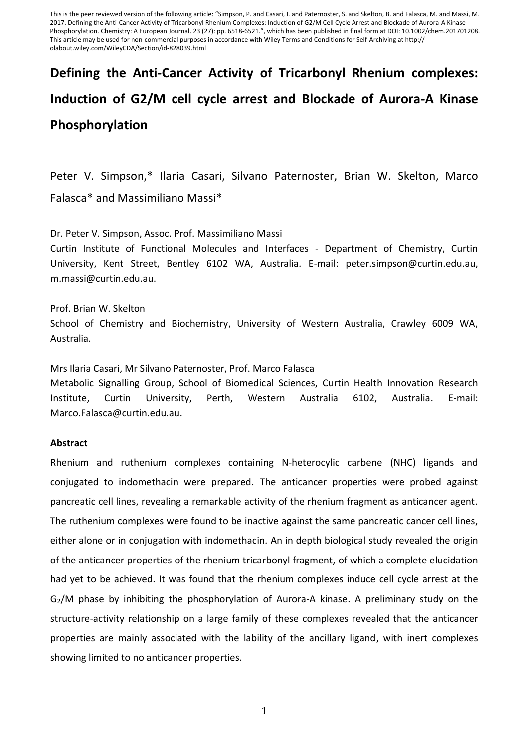This is the peer reviewed version of the following article: "Simpson, P. and Casari, I. and Paternoster, S. and Skelton, B. and Falasca, M. and Massi, M. 2017. Defining the Anti-Cancer Activity of Tricarbonyl Rhenium Complexes: Induction of G2/M Cell Cycle Arrest and Blockade of Aurora-A Kinase Phosphorylation. Chemistry: A European Journal. 23 (27): pp. 6518-6521.", which has been published in final form at DOI: 10.1002/chem.201701208. This article may be used for non-commercial purposes in accordance with Wiley Terms and Conditions for Self-Archiving at http:// olabout.wiley.com/WileyCDA/Section/id-828039.html

## **Defining the Anti-Cancer Activity of Tricarbonyl Rhenium complexes: Induction of G2/M cell cycle arrest and Blockade of Aurora-A Kinase Phosphorylation**

Peter V. Simpson,\* Ilaria Casari, Silvano Paternoster, Brian W. Skelton, Marco Falasca\* and Massimiliano Massi\*

Dr. Peter V. Simpson, Assoc. Prof. Massimiliano Massi

Curtin Institute of Functional Molecules and Interfaces - Department of Chemistry, Curtin University, Kent Street, Bentley 6102 WA, Australia. E-mail: peter.simpson@curtin.edu.au, m.massi@curtin.edu.au.

Prof. Brian W. Skelton School of Chemistry and Biochemistry, University of Western Australia, Crawley 6009 WA, Australia.

Mrs Ilaria Casari, Mr Silvano Paternoster, Prof. Marco Falasca

Metabolic Signalling Group, School of Biomedical Sciences, Curtin Health Innovation Research Institute, Curtin University, Perth, Western Australia 6102, Australia. E-mail: Marco.Falasca@curtin.edu.au.

## **Abstract**

Rhenium and ruthenium complexes containing N-heterocylic carbene (NHC) ligands and conjugated to indomethacin were prepared. The anticancer properties were probed against pancreatic cell lines, revealing a remarkable activity of the rhenium fragment as anticancer agent. The ruthenium complexes were found to be inactive against the same pancreatic cancer cell lines, either alone or in conjugation with indomethacin. An in depth biological study revealed the origin of the anticancer properties of the rhenium tricarbonyl fragment, of which a complete elucidation had yet to be achieved. It was found that the rhenium complexes induce cell cycle arrest at the G2/M phase by inhibiting the phosphorylation of Aurora-A kinase. A preliminary study on the structure-activity relationship on a large family of these complexes revealed that the anticancer properties are mainly associated with the lability of the ancillary ligand, with inert complexes showing limited to no anticancer properties.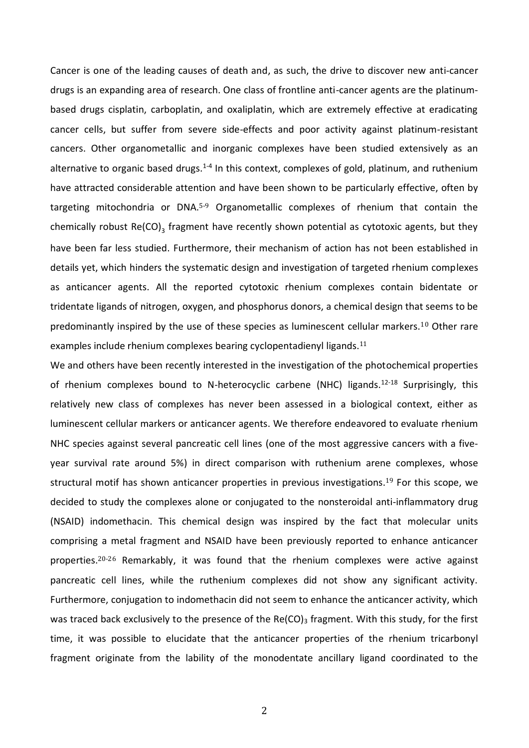Cancer is one of the leading causes of death and, as such, the drive to discover new anti-cancer drugs is an expanding area of research. One class of frontline anti-cancer agents are the platinumbased drugs cisplatin, carboplatin, and oxaliplatin, which are extremely effective at eradicating cancer cells, but suffer from severe side-effects and poor activity against platinum-resistant cancers. Other organometallic and inorganic complexes have been studied extensively as an alternative to organic based drugs.<sup>[1-4](#page-7-0)</sup> In this context, complexes of gold, platinum, and ruthenium have attracted considerable attention and have been shown to be particularly effective, often by targeting mitochondria or DNA.[5-9](#page-7-1) Organometallic complexes of rhenium that contain the chemically robust Re(CO)<sub>3</sub> fragment have recently shown potential as cytotoxic agents, but they have been far less studied. Furthermore, their mechanism of action has not been established in details yet, which hinders the systematic design and investigation of targeted rhenium complexes as anticancer agents. All the reported cytotoxic rhenium complexes contain bidentate or tridentate ligands of nitrogen, oxygen, and phosphorus donors, a chemical design that seems to be predominantly inspired by the use of these species as luminescent cellular markers.[10](#page-7-2) Other rare examples include rhenium complexes bearing cyclopentadienyl ligands.<sup>[11](#page-7-3)</sup>

We and others have been recently interested in the investigation of the photochemical properties of rhenium complexes bound to N-heterocyclic carbene (NHC) ligands.<sup>[12-18](#page-7-4)</sup> Surprisingly, this relatively new class of complexes has never been assessed in a biological context, either as luminescent cellular markers or anticancer agents. We therefore endeavored to evaluate rhenium NHC species against several pancreatic cell lines (one of the most aggressive cancers with a fiveyear survival rate around 5%) in direct comparison with ruthenium arene complexes, whose structural motif has shown anticancer properties in previous investigations. [19](#page-8-0) For this scope, we decided to study the complexes alone or conjugated to the nonsteroidal anti-inflammatory drug (NSAID) indomethacin. This chemical design was inspired by the fact that molecular units comprising a metal fragment and NSAID have been previously reported to enhance anticancer properties. [20-26](#page-8-1) Remarkably, it was found that the rhenium complexes were active against pancreatic cell lines, while the ruthenium complexes did not show any significant activity. Furthermore, conjugation to indomethacin did not seem to enhance the anticancer activity, which was traced back exclusively to the presence of the  $Re(CO)$ <sub>3</sub> fragment. With this study, for the first time, it was possible to elucidate that the anticancer properties of the rhenium tricarbonyl fragment originate from the lability of the monodentate ancillary ligand coordinated to the

2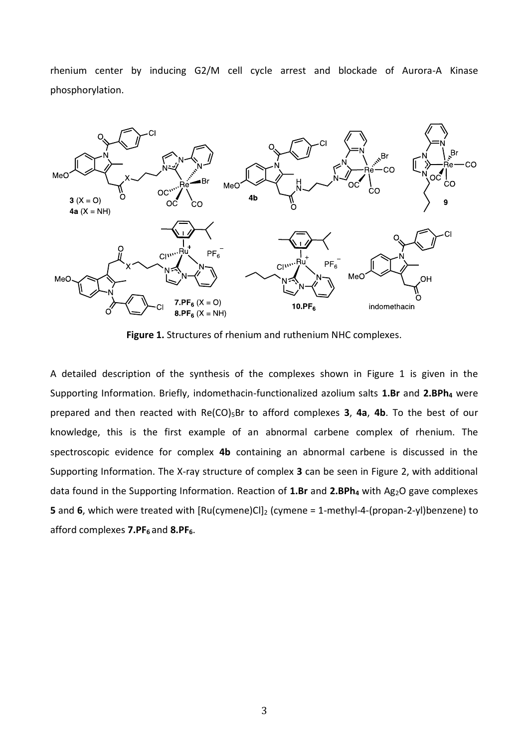rhenium center by inducing G2/M cell cycle arrest and blockade of Aurora-A Kinase phosphorylation.



**Figure 1.** Structures of rhenium and ruthenium NHC complexes.

A detailed description of the synthesis of the complexes shown in Figure 1 is given in the Supporting Information. Briefly, indomethacin-functionalized azolium salts **1.Br** and **2.BPh<sup>4</sup>** were prepared and then reacted with Re(CO)<sub>5</sub>Br to afford complexes **3, 4a, 4b**. To the best of our knowledge, this is the first example of an abnormal carbene complex of rhenium. The spectroscopic evidence for complex **4b** containing an abnormal carbene is discussed in the Supporting Information. The X-ray structure of complex **3** can be seen in Figure 2, with additional data found in the Supporting Information. Reaction of **1.Br** and **2.BPh<sup>4</sup>** with Ag2O gave complexes **5** and **6**, which were treated with  $\text{Ru(cymene)Cl}_2$  (cymene = 1-methyl-4-(propan-2-yl)benzene) to afford complexes **7.PF<sup>6</sup>** and **8.PF6**.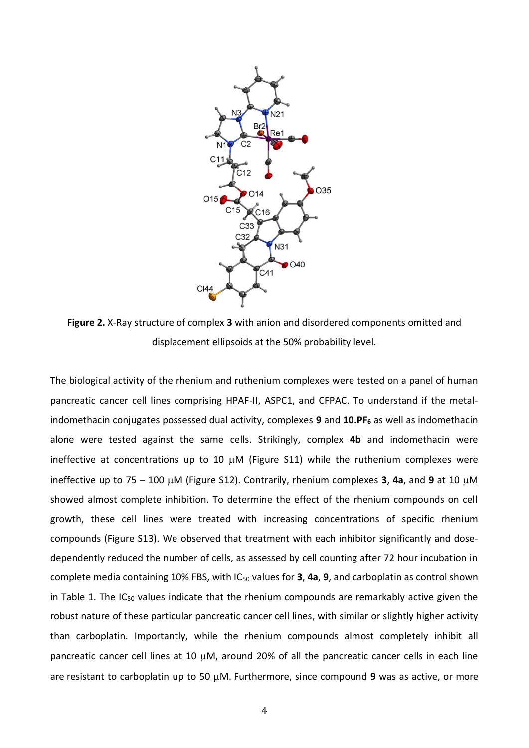

**Figure 2.** X-Ray structure of complex **3** with anion and disordered components omitted and displacement ellipsoids at the 50% probability level.

The biological activity of the rhenium and ruthenium complexes were tested on a panel of human pancreatic cancer cell lines comprising HPAF-II, ASPC1, and CFPAC. To understand if the metalindomethacin conjugates possessed dual activity, complexes **9** and **10.PF<sup>6</sup>** as well as indomethacin alone were tested against the same cells. Strikingly, complex **4b** and indomethacin were ineffective at concentrations up to 10  $\mu$ M (Figure S11) while the ruthenium complexes were ineffective up to 75 – 100  $\mu$ M (Figure S12). Contrarily, rhenium complexes **3, 4a**, and **9** at 10  $\mu$ M showed almost complete inhibition. To determine the effect of the rhenium compounds on cell growth, these cell lines were treated with increasing concentrations of specific rhenium compounds (Figure S13). We observed that treatment with each inhibitor significantly and dosedependently reduced the number of cells, as assessed by cell counting after 72 hour incubation in complete media containing 10% FBS, with IC<sup>50</sup> values for **3**, **4a**, **9**, and carboplatin as control shown in Table 1. The IC<sub>50</sub> values indicate that the rhenium compounds are remarkably active given the robust nature of these particular pancreatic cancer cell lines, with similar or slightly higher activity than carboplatin. Importantly, while the rhenium compounds almost completely inhibit all pancreatic cancer cell lines at 10  $\mu$ M, around 20% of all the pancreatic cancer cells in each line are resistant to carboplatin up to 50 µM. Furthermore, since compound 9 was as active, or more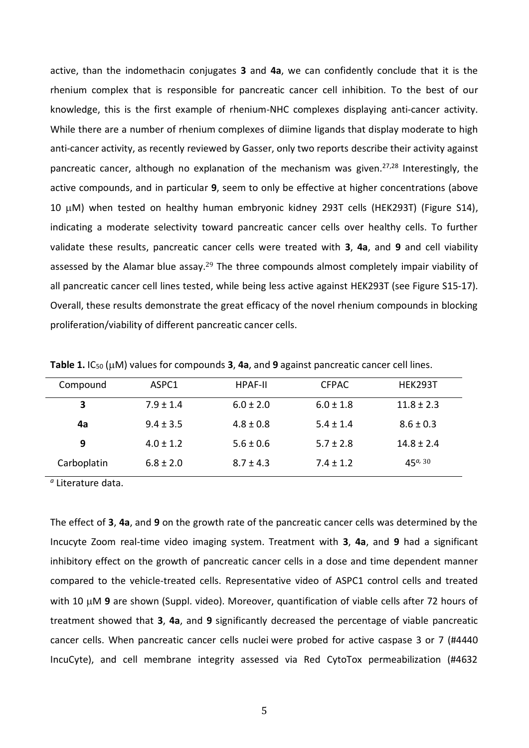active, than the indomethacin conjugates **3** and **4a**, we can confidently conclude that it is the rhenium complex that is responsible for pancreatic cancer cell inhibition. To the best of our knowledge, this is the first example of rhenium-NHC complexes displaying anti-cancer activity. While there are a number of rhenium complexes of diimine ligands that display moderate to high anti-cancer activity, as recently reviewed by Gasser, only two reports describe their activity against pancreatic cancer, although no explanation of the mechanism was given.<sup>[27,](#page-8-2)[28](#page-8-3)</sup> Interestingly, the active compounds, and in particular **9**, seem to only be effective at higher concentrations (above 10 M) when tested on healthy human embryonic kidney 293T cells (HEK293T) (Figure S14), indicating a moderate selectivity toward pancreatic cancer cells over healthy cells. To further validate these results, pancreatic cancer cells were treated with **3**, **4a**, and **9** and cell viability assessed by the Alamar blue assay.<sup>[29](#page-8-4)</sup> The three compounds almost completely impair viability of all pancreatic cancer cell lines tested, while being less active against HEK293T (see Figure S15-17). Overall, these results demonstrate the great efficacy of the novel rhenium compounds in blocking proliferation/viability of different pancreatic cancer cells.

| Compound    | ASPC1         | <b>HPAF-II</b> | <b>CFPAC</b>  | <b>HEK293T</b> |
|-------------|---------------|----------------|---------------|----------------|
| 3           | $7.9 \pm 1.4$ | $6.0 \pm 2.0$  | $6.0 \pm 1.8$ | $11.8 \pm 2.3$ |
| 4a          | $9.4 \pm 3.5$ | $4.8 \pm 0.8$  | $5.4 + 1.4$   | $8.6 \pm 0.3$  |
| 9           | $4.0 \pm 1.2$ | $5.6 \pm 0.6$  | $5.7 \pm 2.8$ | $14.8 \pm 2.4$ |
| Carboplatin | $6.8 \pm 2.0$ | $8.7 \pm 4.3$  | $7.4 + 1.2$   | $45^{a}$ , 30  |

**Table 1.** IC<sub>50</sub> ( $\mu$ M) values for compounds **3**, **4a**, and **9** against pancreatic cancer cell lines.

*a* Literature data.

The effect of **3**, **4a**, and **9** on the growth rate of the pancreatic cancer cells was determined by the Incucyte Zoom real-time video imaging system. Treatment with **3**, **4a**, and **9** had a significant inhibitory effect on the growth of pancreatic cancer cells in a dose and time dependent manner compared to the vehicle-treated cells. Representative video of ASPC1 control cells and treated with 10  $\mu$ M 9 are shown (Suppl. video). Moreover, quantification of viable cells after 72 hours of treatment showed that **3**, **4a**, and **9** significantly decreased the percentage of viable pancreatic cancer cells. When pancreatic cancer cells nuclei were probed for active caspase 3 or 7 (#4440 IncuCyte), and cell membrane integrity assessed via Red CytoTox permeabilization (#4632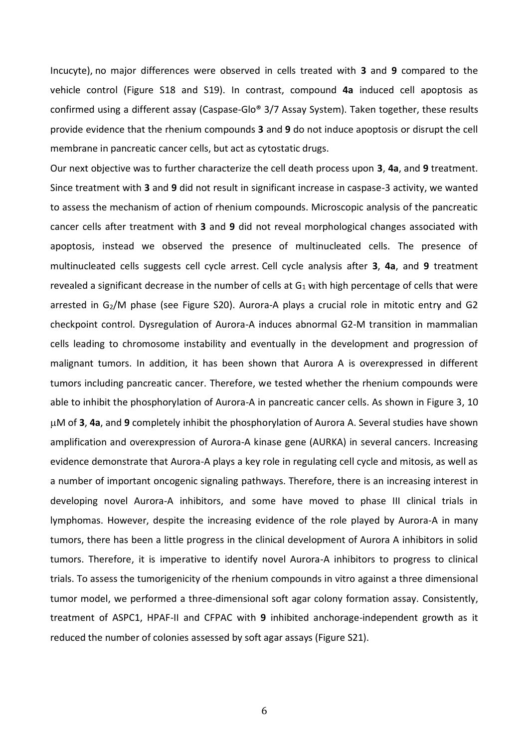Incucyte), no major differences were observed in cells treated with **3** and **9** compared to the vehicle control (Figure S18 and S19). In contrast, compound **4a** induced cell apoptosis as confirmed using a different assay (Caspase-Glo® 3/7 Assay System). Taken together, these results provide evidence that the rhenium compounds **3** and **9** do not induce apoptosis or disrupt the cell membrane in pancreatic cancer cells, but act as cytostatic drugs.

Our next objective was to further characterize the cell death process upon **3**, **4a**, and **9** treatment. Since treatment with **3** and **9** did not result in significant increase in caspase-3 activity, we wanted to assess the mechanism of action of rhenium compounds. Microscopic analysis of the pancreatic cancer cells after treatment with **3** and **9** did not reveal morphological changes associated with apoptosis, instead we observed the presence of multinucleated cells. The presence of multinucleated cells suggests cell cycle arrest. Cell cycle analysis after **3**, **4a**, and **9** treatment revealed a significant decrease in the number of cells at  $G_1$  with high percentage of cells that were arrested in  $G_2/M$  phase (see Figure S20). Aurora-A plays a crucial role in mitotic entry and G2 checkpoint control. Dysregulation of Aurora-A induces abnormal G2-M transition in mammalian cells leading to chromosome instability and eventually in the development and progression of malignant tumors. In addition, it has been shown that Aurora A is overexpressed in different tumors including pancreatic cancer. Therefore, we tested whether the rhenium compounds were able to inhibit the phosphorylation of Aurora-A in pancreatic cancer cells. As shown in Figure 3, 10 M of **3**, **4a**, and **9** completely inhibit the phosphorylation of Aurora A. Several studies have shown amplification and overexpression of Aurora-A kinase gene (AURKA) in several cancers. Increasing evidence demonstrate that Aurora-A plays a key role in regulating cell cycle and mitosis, as well as a number of important oncogenic signaling pathways. Therefore, there is an increasing interest in developing novel Aurora-A inhibitors, and some have moved to phase III clinical trials in lymphomas. However, despite the increasing evidence of the role played by Aurora-A in many tumors, there has been a little progress in the clinical development of Aurora A inhibitors in solid tumors. Therefore, it is imperative to identify novel Aurora-A inhibitors to progress to clinical trials. To assess the tumorigenicity of the rhenium compounds in vitro against a three dimensional tumor model, we performed a three-dimensional soft agar colony formation assay. Consistently, treatment of ASPC1, HPAF-II and CFPAC with **9** inhibited anchorage-independent growth as it reduced the number of colonies assessed by soft agar assays (Figure S21).

6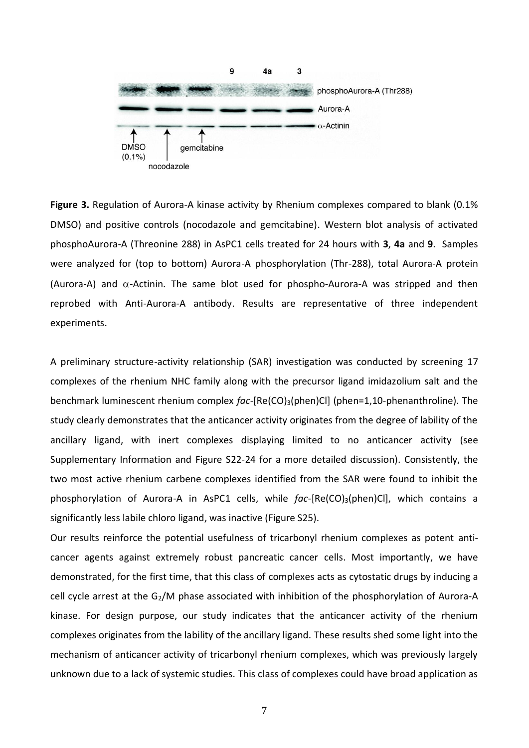

**Figure 3.** Regulation of Aurora-A kinase activity by Rhenium complexes compared to blank (0.1% DMSO) and positive controls (nocodazole and gemcitabine). Western blot analysis of activated phosphoAurora-A (Threonine 288) in AsPC1 cells treated for 24 hours with **3**, **4a** and **9**. Samples were analyzed for (top to bottom) Aurora-A phosphorylation (Thr-288), total Aurora-A protein (Aurora-A) and  $\alpha$ -Actinin. The same blot used for phospho-Aurora-A was stripped and then reprobed with Anti-Aurora-A antibody. Results are representative of three independent experiments.

A preliminary structure-activity relationship (SAR) investigation was conducted by screening 17 complexes of the rhenium NHC family along with the precursor ligand imidazolium salt and the benchmark luminescent rhenium complex *fac*-[Re(CO)3(phen)Cl] (phen=1,10-phenanthroline). The study clearly demonstrates that the anticancer activity originates from the degree of lability of the ancillary ligand, with inert complexes displaying limited to no anticancer activity (see Supplementary Information and Figure S22-24 for a more detailed discussion). Consistently, the two most active rhenium carbene complexes identified from the SAR were found to inhibit the phosphorylation of Aurora-A in AsPC1 cells, while *fac*-[Re(CO)<sub>3</sub>(phen)Cl], which contains a significantly less labile chloro ligand, was inactive (Figure S25).

Our results reinforce the potential usefulness of tricarbonyl rhenium complexes as potent anticancer agents against extremely robust pancreatic cancer cells. Most importantly, we have demonstrated, for the first time, that this class of complexes acts as cytostatic drugs by inducing a cell cycle arrest at the G<sub>2</sub>/M phase associated with inhibition of the phosphorylation of Aurora-A kinase. For design purpose, our study indicates that the anticancer activity of the rhenium complexes originates from the lability of the ancillary ligand. These results shed some light into the mechanism of anticancer activity of tricarbonyl rhenium complexes, which was previously largely unknown due to a lack of systemic studies. This class of complexes could have broad application as

7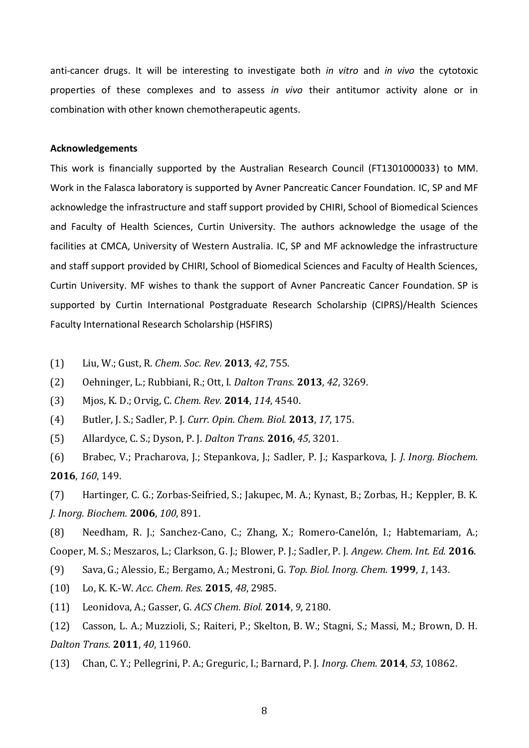anti-cancer drugs. It will be interesting to investigate both *in vitro* and *in vivo* the cytotoxic properties of these complexes and to assess *in vivo* their antitumor activity alone or in combination with other known chemotherapeutic agents.

## **Acknowledgements**

This work is financially supported by the Australian Research Council (FT1301000033) to MM. Work in the Falasca laboratory is supported by Avner Pancreatic Cancer Foundation. IC, SP and MF acknowledge the infrastructure and staff support provided by CHIRI, School of Biomedical Sciences and Faculty of Health Sciences, Curtin University. The authors acknowledge the usage of the facilities at CMCA, University of Western Australia. IC, SP and MF acknowledge the infrastructure and staff support provided by CHIRI, School of Biomedical Sciences and Faculty of Health Sciences, Curtin University. MF wishes to thank the support of Avner Pancreatic Cancer Foundation. SP is supported by Curtin International Postgraduate Research Scholarship (CIPRS)/Health Sciences Faculty International Research Scholarship (HSFIRS)

<span id="page-7-0"></span>(1) Liu, W.; Gust, R. *Chem. Soc. Rev.* **2013**, *42*, 755.

(2) Oehninger, L.; Rubbiani, R.; Ott, I. *Dalton Trans.* **2013**, *42*, 3269.

(3) Mjos, K. D.; Orvig, C. *Chem. Rev.* **2014**, *114*, 4540.

(4) Butler, J. S.; Sadler, P. J. *Curr. Opin. Chem. Biol.* **2013**, *17*, 175.

<span id="page-7-1"></span>(5) Allardyce, C. S.; Dyson, P. J. *Dalton Trans.* **2016**, *45*, 3201.

(6) Brabec, V.; Pracharova, J.; Stepankova, J.; Sadler, P. J.; Kasparkova, J. *J. Inorg. Biochem.* **2016**, *160*, 149.

(7) Hartinger, C. G.; Zorbas-Seifried, S.; Jakupec, M. A.; Kynast, B.; Zorbas, H.; Keppler, B. K. *J. Inorg. Biochem.* **2006**, *100*, 891.

(8) Needham, R. J.; Sanchez-Cano, C.; Zhang, X.; Romero-Canelón, I.; Habtemariam, A.; Cooper, M. S.; Meszaros, L.; Clarkson, G. J.; Blower, P. J.; Sadler, P. J. *Angew. Chem. Int. Ed.* **2016**.

(9) Sava, G.; Alessio, E.; Bergamo, A.; Mestroni, G. *Top. Biol. Inorg. Chem.* **1999**, *1*, 143.

<span id="page-7-2"></span>(10) Lo, K. K.-W. *Acc. Chem. Res.* **2015**, *48*, 2985.

<span id="page-7-3"></span>(11) Leonidova, A.; Gasser, G. *ACS Chem. Biol.* **2014**, *9*, 2180.

<span id="page-7-4"></span>(12) Casson, L. A.; Muzzioli, S.; Raiteri, P.; Skelton, B. W.; Stagni, S.; Massi, M.; Brown, D. H. *Dalton Trans.* **2011**, *40*, 11960.

(13) Chan, C. Y.; Pellegrini, P. A.; Greguric, I.; Barnard, P. J. *Inorg. Chem.* **2014**, *53*, 10862.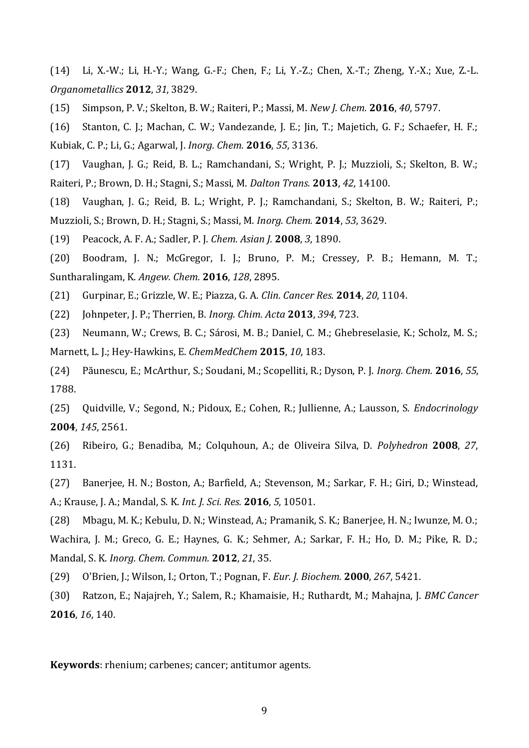(14) Li, X.-W.; Li, H.-Y.; Wang, G.-F.; Chen, F.; Li, Y.-Z.; Chen, X.-T.; Zheng, Y.-X.; Xue, Z.-L. *Organometallics* **2012**, *31*, 3829.

(15) Simpson, P. V.; Skelton, B. W.; Raiteri, P.; Massi, M. *New J. Chem.* **2016**, *40*, 5797.

(16) Stanton, C. J.; Machan, C. W.; Vandezande, J. E.; Jin, T.; Majetich, G. F.; Schaefer, H. F.; Kubiak, C. P.; Li, G.; Agarwal, J. *Inorg. Chem.* **2016**, *55*, 3136.

(17) Vaughan, J. G.; Reid, B. L.; Ramchandani, S.; Wright, P. J.; Muzzioli, S.; Skelton, B. W.; Raiteri, P.; Brown, D. H.; Stagni, S.; Massi, M. *Dalton Trans.* **2013**, *42*, 14100.

(18) Vaughan, J. G.; Reid, B. L.; Wright, P. J.; Ramchandani, S.; Skelton, B. W.; Raiteri, P.; Muzzioli, S.; Brown, D. H.; Stagni, S.; Massi, M. *Inorg. Chem.* **2014**, *53*, 3629.

<span id="page-8-0"></span>(19) Peacock, A. F. A.; Sadler, P. J. *Chem. Asian J.* **2008**, *3*, 1890.

<span id="page-8-1"></span>(20) Boodram, J. N.; McGregor, I. J.; Bruno, P. M.; Cressey, P. B.; Hemann, M. T.; Suntharalingam, K. *Angew. Chem.* **2016**, *128*, 2895.

(21) Gurpinar, E.; Grizzle, W. E.; Piazza, G. A. *Clin. Cancer Res.* **2014**, *20*, 1104.

(22) Johnpeter, J. P.; Therrien, B. *Inorg. Chim. Acta* **2013**, *394*, 723.

(23) Neumann, W.; Crews, B. C.; Sárosi, M. B.; Daniel, C. M.; Ghebreselasie, K.; Scholz, M. S.; Marnett, L. J.; Hey-Hawkins, E. *ChemMedChem* **2015**, *10*, 183.

(24) Păunescu, E.; McArthur, S.; Soudani, M.; Scopelliti, R.; Dyson, P. J. *Inorg. Chem.* **2016**, *55*, 1788.

(25) Quidville, V.; Segond, N.; Pidoux, E.; Cohen, R.; Jullienne, A.; Lausson, S. *Endocrinology* **2004**, *145*, 2561.

(26) Ribeiro, G.; Benadiba, M.; Colquhoun, A.; de Oliveira Silva, D. *Polyhedron* **2008**, *27*, 1131.

<span id="page-8-2"></span>(27) Banerjee, H. N.; Boston, A.; Barfield, A.; Stevenson, M.; Sarkar, F. H.; Giri, D.; Winstead, A.; Krause, J. A.; Mandal, S. K. *Int. J. Sci. Res.* **2016**, *5*, 10501.

<span id="page-8-3"></span>(28) Mbagu, M. K.; Kebulu, D. N.; Winstead, A.; Pramanik, S. K.; Banerjee, H. N.; Iwunze, M. O.; Wachira, J. M.; Greco, G. E.; Haynes, G. K.; Sehmer, A.; Sarkar, F. H.; Ho, D. M.; Pike, R. D.; Mandal, S. K. *Inorg. Chem. Commun.* **2012**, *21*, 35.

<span id="page-8-4"></span>(29) O'Brien, J.; Wilson, I.; Orton, T.; Pognan, F. *Eur. J. Biochem.* **2000**, *267*, 5421.

<span id="page-8-5"></span>(30) Ratzon, E.; Najajreh, Y.; Salem, R.; Khamaisie, H.; Ruthardt, M.; Mahajna, J. *BMC Cancer* **2016**, *16*, 140.

**Keywords**: rhenium; carbenes; cancer; antitumor agents.